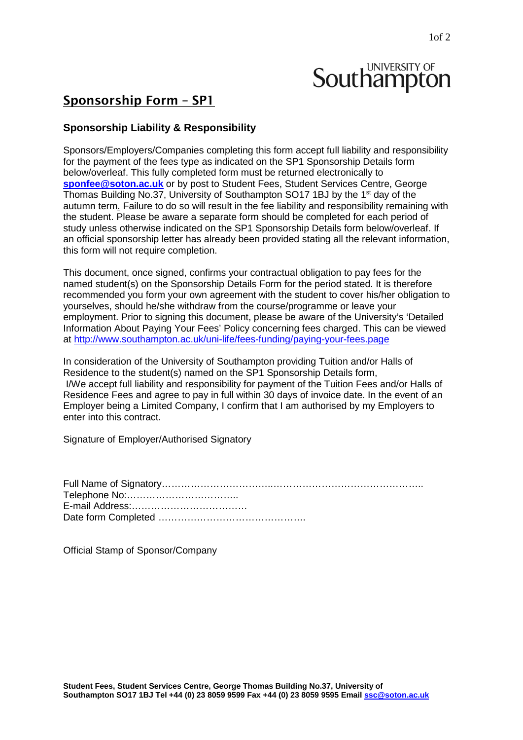# **Southampton**

# Sponsorship Form – SP1

## **Sponsorship Liability & Responsibility**

Sponsors/Employers/Companies completing this form accept full liability and responsibility for the payment of the fees type as indicated on the SP1 Sponsorship Details form below/overleaf. This fully completed form must be returned electronically to **[sponfee@soton.ac.uk](mailto:sponfee@soton.ac.uk)** or by post to Student Fees, Student Services Centre, George Thomas Building No.37, University of Southampton SO17 1BJ by the 1<sup>st</sup> day of the autumn term. Failure to do so will result in the fee liability and responsibility remaining with the student. Please be aware a separate form should be completed for each period of study unless otherwise indicated on the SP1 Sponsorship Details form below/overleaf. If an official sponsorship letter has already been provided stating all the relevant information, this form will not require completion.

This document, once signed, confirms your contractual obligation to pay fees for the named student(s) on the Sponsorship Details Form for the period stated. It is therefore recommended you form your own agreement with the student to cover his/her obligation to yourselves, should he/she withdraw from the course/programme or leave your employment. Prior to signing this document, please be aware of the University's 'Detailed Information About Paying Your Fees' Policy concerning fees charged. This can be viewed at<http://www.southampton.ac.uk/uni-life/fees-funding/paying-your-fees.page>

In consideration of the University of Southampton providing Tuition and/or Halls of Residence to the student(s) named on the SP1 Sponsorship Details form, I/We accept full liability and responsibility for payment of the Tuition Fees and/or Halls of Residence Fees and agree to pay in full within 30 days of invoice date. In the event of an Employer being a Limited Company, I confirm that I am authorised by my Employers to enter into this contract.

Signature of Employer/Authorised Signatory

Official Stamp of Sponsor/Company